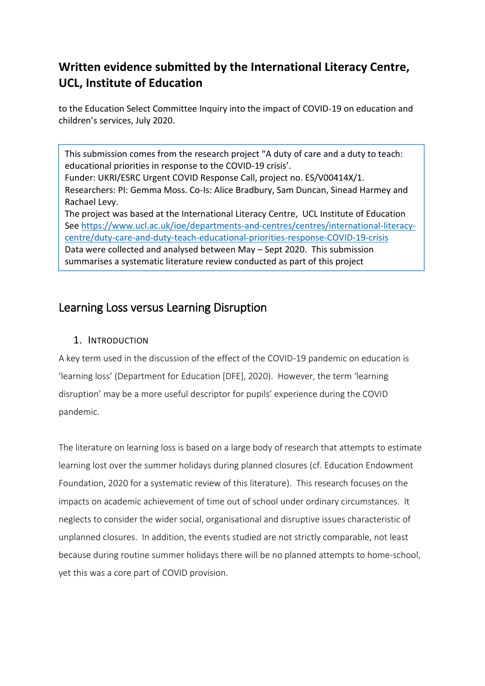# **Written evidence submitted by the International Literacy Centre, UCL, Institute of Education**

to the Education Select Committee Inquiry into the impact of COVID-19 on education and children's services, July 2020.

This submission comes from the research project "A duty of care and a duty to teach: educational priorities in response to the COVID-19 crisis'. Funder: UKRI/ESRC Urgent COVID Response Call, project no. ES/V00414X/1. Researchers: PI: Gemma Moss. Co-Is: Alice Bradbury, Sam Duncan, Sinead Harmey and Rachael Levy. The project was based at the International Literacy Centre, UCL Institute of Education Se[e https://www.ucl.ac.uk/ioe/departments-and-centres/centres/international-literacy](https://www.ucl.ac.uk/ioe/departments-and-centres/centres/international-literacy-centre/duty-care-and-duty-teach-educational-priorities-response-covid-19-crisis)[centre/duty-care-and-duty-teach-educational-priorities-response-COVID-19-crisis](https://www.ucl.ac.uk/ioe/departments-and-centres/centres/international-literacy-centre/duty-care-and-duty-teach-educational-priorities-response-covid-19-crisis) Data were collected and analysed between May – Sept 2020. This submission summarises a systematic literature review conducted as part of this project

# Learning Loss versus Learning Disruption

## 1. INTRODUCTION

A key term used in the discussion of the effect of the COVID-19 pandemic on education is 'learning loss' (Department for Education [DFE], 2020). However, the term 'learning disruption' may be a more useful descriptor for pupils' experience during the COVID pandemic.

The literature on learning loss is based on a large body of research that attempts to estimate learning lost over the summer holidays during planned closures (cf. Education Endowment Foundation, 2020 for a systematic review of this literature). This research focuses on the impacts on academic achievement of time out of school under ordinary circumstances. It neglects to consider the wider social, organisational and disruptive issues characteristic of unplanned closures. In addition, the events studied are not strictly comparable, not least because during routine summer holidays there will be no planned attempts to home-school, yet this was a core part of COVID provision.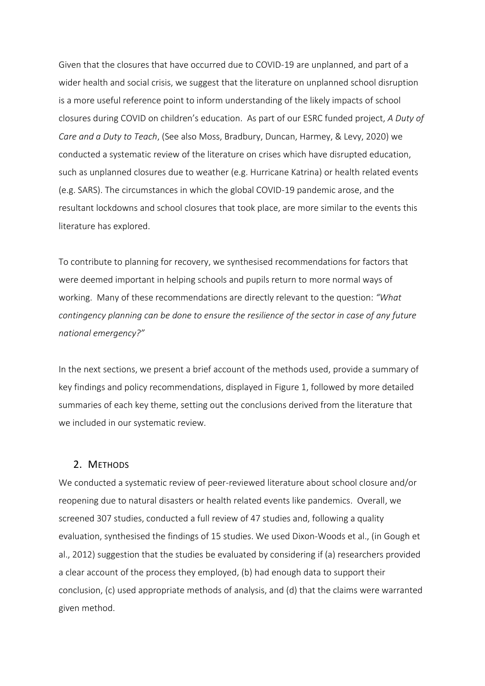Given that the closures that have occurred due to COVID-19 are unplanned, and part of a wider health and social crisis, we suggest that the literature on unplanned school disruption is a more useful reference point to inform understanding of the likely impacts of school closures during COVID on children's education. As part of our ESRC funded project, *A Duty of Care and a Duty to Teach*, (See also Moss, Bradbury, Duncan, Harmey, & Levy, 2020) we conducted a systematic review of the literature on crises which have disrupted education, such as unplanned closures due to weather (e.g. Hurricane Katrina) or health related events (e.g. SARS). The circumstances in which the global COVID-19 pandemic arose, and the resultant lockdowns and school closures that took place, are more similar to the events this literature has explored.

To contribute to planning for recovery, we synthesised recommendations for factors that were deemed important in helping schools and pupils return to more normal ways of working. Many of these recommendations are directly relevant to the question: *"What contingency planning can be done to ensure the resilience of the sector in case of any future national emergency?"*

In the next sections, we present a brief account of the methods used, provide a summary of key findings and policy recommendations, displayed in Figure 1, followed by more detailed summaries of each key theme, setting out the conclusions derived from the literature that we included in our systematic review.

### 2. METHODS

We conducted a systematic review of peer-reviewed literature about school closure and/or reopening due to natural disasters or health related events like pandemics. Overall, we screened 307 studies, conducted a full review of 47 studies and, following a quality evaluation, synthesised the findings of 15 studies. We used Dixon-Woods et al., (in Gough et al., 2012) suggestion that the studies be evaluated by considering if (a) researchers provided a clear account of the process they employed, (b) had enough data to support their conclusion, (c) used appropriate methods of analysis, and (d) that the claims were warranted given method.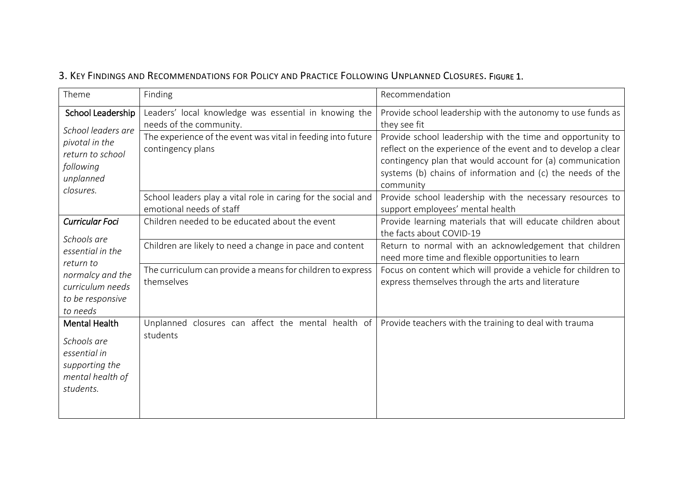|  | 3. KEY FINDINGS AND RECOMMENDATIONS FOR POLICY AND PRACTICE FOLLOWING UNPLANNED CLOSURES. FIGURE 1. |  |  |  |  |  |
|--|-----------------------------------------------------------------------------------------------------|--|--|--|--|--|
|--|-----------------------------------------------------------------------------------------------------|--|--|--|--|--|

| Theme                                                                                                                                          | Finding                                                                                   | Recommendation                                                                                                                                                                                                                                                      |  |  |
|------------------------------------------------------------------------------------------------------------------------------------------------|-------------------------------------------------------------------------------------------|---------------------------------------------------------------------------------------------------------------------------------------------------------------------------------------------------------------------------------------------------------------------|--|--|
| School Leadership                                                                                                                              | Leaders' local knowledge was essential in knowing the<br>needs of the community.          | Provide school leadership with the autonomy to use funds as<br>they see fit                                                                                                                                                                                         |  |  |
| School leaders are<br>pivotal in the<br>return to school<br>following<br>unplanned<br>closures.                                                | The experience of the event was vital in feeding into future<br>contingency plans         | Provide school leadership with the time and opportunity to<br>reflect on the experience of the event and to develop a clear<br>contingency plan that would account for (a) communication<br>systems (b) chains of information and (c) the needs of the<br>community |  |  |
|                                                                                                                                                | School leaders play a vital role in caring for the social and<br>emotional needs of staff | Provide school leadership with the necessary resources to<br>support employees' mental health                                                                                                                                                                       |  |  |
| <b>Curricular Foci</b><br>Schools are<br>essential in the<br>return to<br>normalcy and the<br>curriculum needs<br>to be responsive<br>to needs | Children needed to be educated about the event                                            | Provide learning materials that will educate children about<br>the facts about COVID-19                                                                                                                                                                             |  |  |
|                                                                                                                                                | Children are likely to need a change in pace and content                                  | Return to normal with an acknowledgement that children<br>need more time and flexible opportunities to learn                                                                                                                                                        |  |  |
|                                                                                                                                                | The curriculum can provide a means for children to express<br>themselves                  | Focus on content which will provide a vehicle for children to<br>express themselves through the arts and literature                                                                                                                                                 |  |  |
| <b>Mental Health</b><br>Schools are<br>essential in<br>supporting the<br>mental health of<br>students.                                         | Unplanned closures can affect the mental health of<br>students                            | Provide teachers with the training to deal with trauma                                                                                                                                                                                                              |  |  |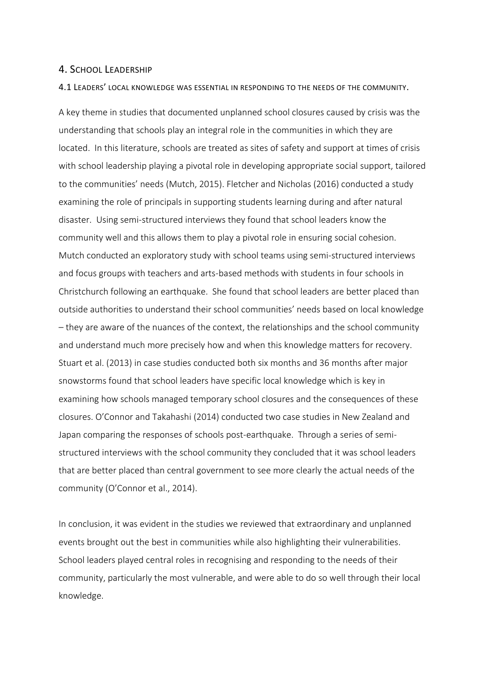### 4. SCHOOL LEADERSHIP

#### 4.1 LEADERS' LOCAL KNOWLEDGE WAS ESSENTIAL IN RESPONDING TO THE NEEDS OF THE COMMUNITY.

A key theme in studies that documented unplanned school closures caused by crisis was the understanding that schools play an integral role in the communities in which they are located. In this literature, schools are treated as sites of safety and support at times of crisis with school leadership playing a pivotal role in developing appropriate social support, tailored to the communities' needs (Mutch, 2015). Fletcher and Nicholas (2016) conducted a study examining the role of principals in supporting students learning during and after natural disaster. Using semi-structured interviews they found that school leaders know the community well and this allows them to play a pivotal role in ensuring social cohesion. Mutch conducted an exploratory study with school teams using semi-structured interviews and focus groups with teachers and arts-based methods with students in four schools in Christchurch following an earthquake. She found that school leaders are better placed than outside authorities to understand their school communities' needs based on local knowledge – they are aware of the nuances of the context, the relationships and the school community and understand much more precisely how and when this knowledge matters for recovery. Stuart et al. (2013) in case studies conducted both six months and 36 months after major snowstorms found that school leaders have specific local knowledge which is key in examining how schools managed temporary school closures and the consequences of these closures. O'Connor and Takahashi (2014) conducted two case studies in New Zealand and Japan comparing the responses of schools post-earthquake. Through a series of semistructured interviews with the school community they concluded that it was school leaders that are better placed than central government to see more clearly the actual needs of the community (O'Connor et al., 2014).

In conclusion, it was evident in the studies we reviewed that extraordinary and unplanned events brought out the best in communities while also highlighting their vulnerabilities. School leaders played central roles in recognising and responding to the needs of their community, particularly the most vulnerable, and were able to do so well through their local knowledge.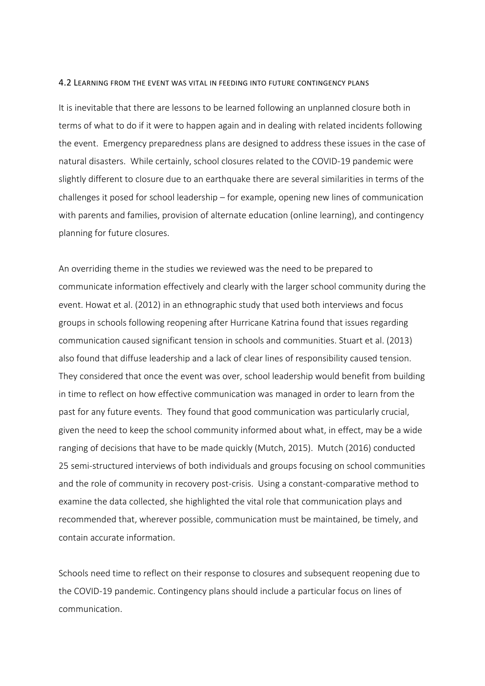#### 4.2 LEARNING FROM THE EVENT WAS VITAL IN FEEDING INTO FUTURE CONTINGENCY PLANS

It is inevitable that there are lessons to be learned following an unplanned closure both in terms of what to do if it were to happen again and in dealing with related incidents following the event. Emergency preparedness plans are designed to address these issues in the case of natural disasters. While certainly, school closures related to the COVID-19 pandemic were slightly different to closure due to an earthquake there are several similarities in terms of the challenges it posed for school leadership – for example, opening new lines of communication with parents and families, provision of alternate education (online learning), and contingency planning for future closures.

An overriding theme in the studies we reviewed was the need to be prepared to communicate information effectively and clearly with the larger school community during the event. Howat et al. (2012) in an ethnographic study that used both interviews and focus groups in schools following reopening after Hurricane Katrina found that issues regarding communication caused significant tension in schools and communities. Stuart et al. (2013) also found that diffuse leadership and a lack of clear lines of responsibility caused tension. They considered that once the event was over, school leadership would benefit from building in time to reflect on how effective communication was managed in order to learn from the past for any future events. They found that good communication was particularly crucial, given the need to keep the school community informed about what, in effect, may be a wide ranging of decisions that have to be made quickly (Mutch, 2015). Mutch (2016) conducted 25 semi-structured interviews of both individuals and groups focusing on school communities and the role of community in recovery post-crisis. Using a constant-comparative method to examine the data collected, she highlighted the vital role that communication plays and recommended that, wherever possible, communication must be maintained, be timely, and contain accurate information.

Schools need time to reflect on their response to closures and subsequent reopening due to the COVID-19 pandemic. Contingency plans should include a particular focus on lines of communication.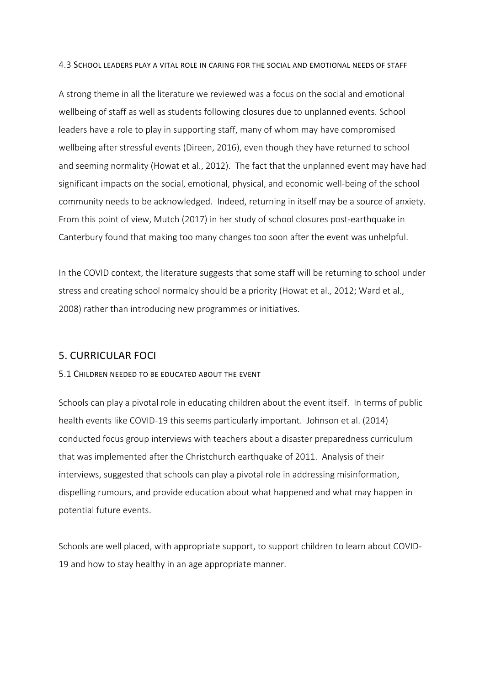4.3 SCHOOL LEADERS PLAY A VITAL ROLE IN CARING FOR THE SOCIAL AND EMOTIONAL NEEDS OF STAFF

A strong theme in all the literature we reviewed was a focus on the social and emotional wellbeing of staff as well as students following closures due to unplanned events. School leaders have a role to play in supporting staff, many of whom may have compromised wellbeing after stressful events (Direen, 2016), even though they have returned to school and seeming normality (Howat et al., 2012). The fact that the unplanned event may have had significant impacts on the social, emotional, physical, and economic well-being of the school community needs to be acknowledged. Indeed, returning in itself may be a source of anxiety. From this point of view, Mutch (2017) in her study of school closures post-earthquake in Canterbury found that making too many changes too soon after the event was unhelpful.

In the COVID context, the literature suggests that some staff will be returning to school under stress and creating school normalcy should be a priority (Howat et al., 2012; Ward et al., 2008) rather than introducing new programmes or initiatives.

### 5. CURRICULAR FOCI

### 5.1 CHILDREN NEEDED TO BE EDUCATED ABOUT THE EVENT

Schools can play a pivotal role in educating children about the event itself. In terms of public health events like COVID-19 this seems particularly important. Johnson et al. (2014) conducted focus group interviews with teachers about a disaster preparedness curriculum that was implemented after the Christchurch earthquake of 2011. Analysis of their interviews, suggested that schools can play a pivotal role in addressing misinformation, dispelling rumours, and provide education about what happened and what may happen in potential future events.

Schools are well placed, with appropriate support, to support children to learn about COVID-19 and how to stay healthy in an age appropriate manner.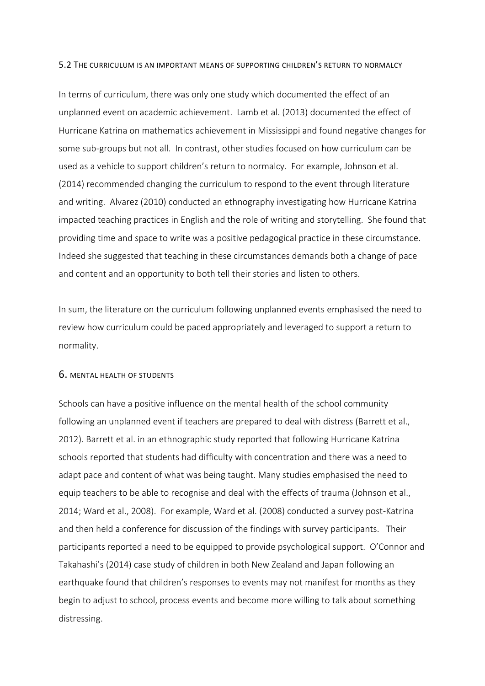#### 5.2 THE CURRICULUM IS AN IMPORTANT MEANS OF SUPPORTING CHILDREN'S RETURN TO NORMALCY

In terms of curriculum, there was only one study which documented the effect of an unplanned event on academic achievement. Lamb et al. (2013) documented the effect of Hurricane Katrina on mathematics achievement in Mississippi and found negative changes for some sub-groups but not all. In contrast, other studies focused on how curriculum can be used as a vehicle to support children's return to normalcy. For example, Johnson et al. (2014) recommended changing the curriculum to respond to the event through literature and writing. Alvarez (2010) conducted an ethnography investigating how Hurricane Katrina impacted teaching practices in English and the role of writing and storytelling. She found that providing time and space to write was a positive pedagogical practice in these circumstance. Indeed she suggested that teaching in these circumstances demands both a change of pace and content and an opportunity to both tell their stories and listen to others.

In sum, the literature on the curriculum following unplanned events emphasised the need to review how curriculum could be paced appropriately and leveraged to support a return to normality.

### 6. MENTAL HEALTH OF STUDENTS

Schools can have a positive influence on the mental health of the school community following an unplanned event if teachers are prepared to deal with distress (Barrett et al., 2012). Barrett et al. in an ethnographic study reported that following Hurricane Katrina schools reported that students had difficulty with concentration and there was a need to adapt pace and content of what was being taught. Many studies emphasised the need to equip teachers to be able to recognise and deal with the effects of trauma (Johnson et al., 2014; Ward et al., 2008). For example, Ward et al. (2008) conducted a survey post-Katrina and then held a conference for discussion of the findings with survey participants. Their participants reported a need to be equipped to provide psychological support. O'Connor and Takahashi's (2014) case study of children in both New Zealand and Japan following an earthquake found that children's responses to events may not manifest for months as they begin to adjust to school, process events and become more willing to talk about something distressing.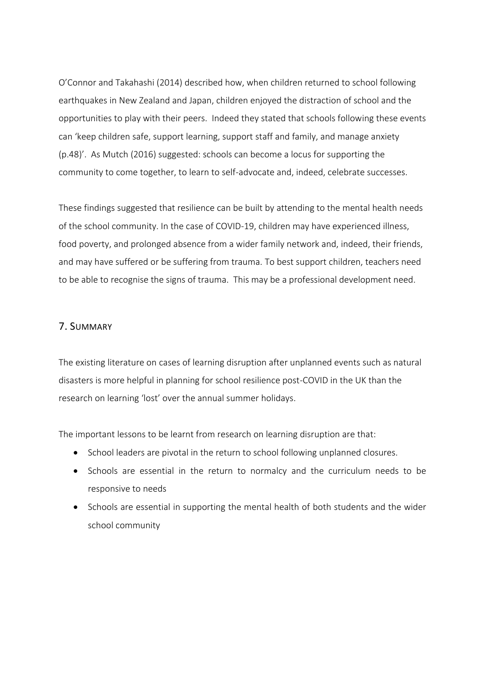O'Connor and Takahashi (2014) described how, when children returned to school following earthquakes in New Zealand and Japan, children enjoyed the distraction of school and the opportunities to play with their peers. Indeed they stated that schools following these events can 'keep children safe, support learning, support staff and family, and manage anxiety (p.48)'. As Mutch (2016) suggested: schools can become a locus for supporting the community to come together, to learn to self-advocate and, indeed, celebrate successes.

These findings suggested that resilience can be built by attending to the mental health needs of the school community. In the case of COVID-19, children may have experienced illness, food poverty, and prolonged absence from a wider family network and, indeed, their friends, and may have suffered or be suffering from trauma. To best support children, teachers need to be able to recognise the signs of trauma. This may be a professional development need.

### 7. SUMMARY

The existing literature on cases of learning disruption after unplanned events such as natural disasters is more helpful in planning for school resilience post-COVID in the UK than the research on learning 'lost' over the annual summer holidays.

The important lessons to be learnt from research on learning disruption are that:

- School leaders are pivotal in the return to school following unplanned closures.
- Schools are essential in the return to normalcy and the curriculum needs to be responsive to needs
- Schools are essential in supporting the mental health of both students and the wider school community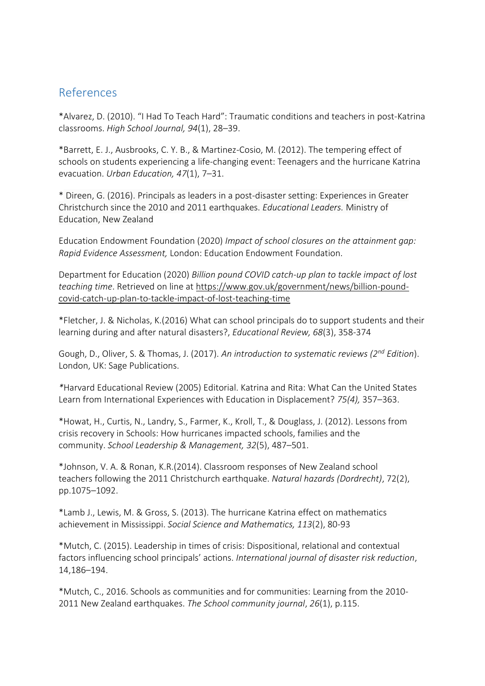## References

\*Alvarez, D. (2010). "I Had To Teach Hard": Traumatic conditions and teachers in post-Katrina classrooms. *High School Journal, 94*(1), 28–39.

\*Barrett, E. J., Ausbrooks, C. Y. B., & Martinez-Cosio, M. (2012). The tempering effect of schools on students experiencing a life-changing event: Teenagers and the hurricane Katrina evacuation. *Urban Education, 47*(1), 7–31.

\* Direen, G. (2016). Principals as leaders in a post-disaster setting: Experiences in Greater Christchurch since the 2010 and 2011 earthquakes. *Educational Leaders.* Ministry of Education, New Zealand

Education Endowment Foundation (2020) *Impact of school closures on the attainment gap: Rapid Evidence Assessment,* London: Education Endowment Foundation.

Department for Education (2020) *Billion pound COVID catch-up plan to tackle impact of lost teaching time*. Retrieved on line at [https://www.gov.uk/government/news/billion-pound](https://www.gov.uk/government/news/billion-pound-covid-catch-up-plan-to-tackle-impact-of-lost-teaching-time)[covid-catch-up-plan-to-tackle-impact-of-lost-teaching-time](https://www.gov.uk/government/news/billion-pound-covid-catch-up-plan-to-tackle-impact-of-lost-teaching-time)

\*Fletcher, J. & Nicholas, K.(2016) What can school principals do to support students and their learning during and after natural disasters?, *Educational Review, 68*(3), 358-374

Gough, D., Oliver, S. & Thomas, J. (2017). *An introduction to systematic reviews (2nd Edition*). London, UK: Sage Publications.

*\**Harvard Educational Review (2005) Editorial. Katrina and Rita: What Can the United States Learn from International Experiences with Education in Displacement? *75(4),* 357–363.

\*Howat, H., Curtis, N., Landry, S., Farmer, K., Kroll, T., & Douglass, J. (2012). Lessons from crisis recovery in Schools: How hurricanes impacted schools, families and the community. *School Leadership & Management, 32*(5), 487–501.

\*Johnson, V. A. & Ronan, K.R.(2014). Classroom responses of New Zealand school teachers following the 2011 Christchurch earthquake. *Natural hazards (Dordrecht)*, 72(2), pp.1075–1092.

\*Lamb J., Lewis, M. & Gross, S. (2013). The hurricane Katrina effect on mathematics achievement in Mississippi. *Social Science and Mathematics, 113*(2), 80-93

\*Mutch, C. (2015). Leadership in times of crisis: Dispositional, relational and contextual factors influencing school principals' actions. *International journal of disaster risk reduction*, 14,186–194.

\*Mutch, C., 2016. Schools as communities and for communities: Learning from the 2010- 2011 New Zealand earthquakes. *The School community journal*, *26*(1), p.115.